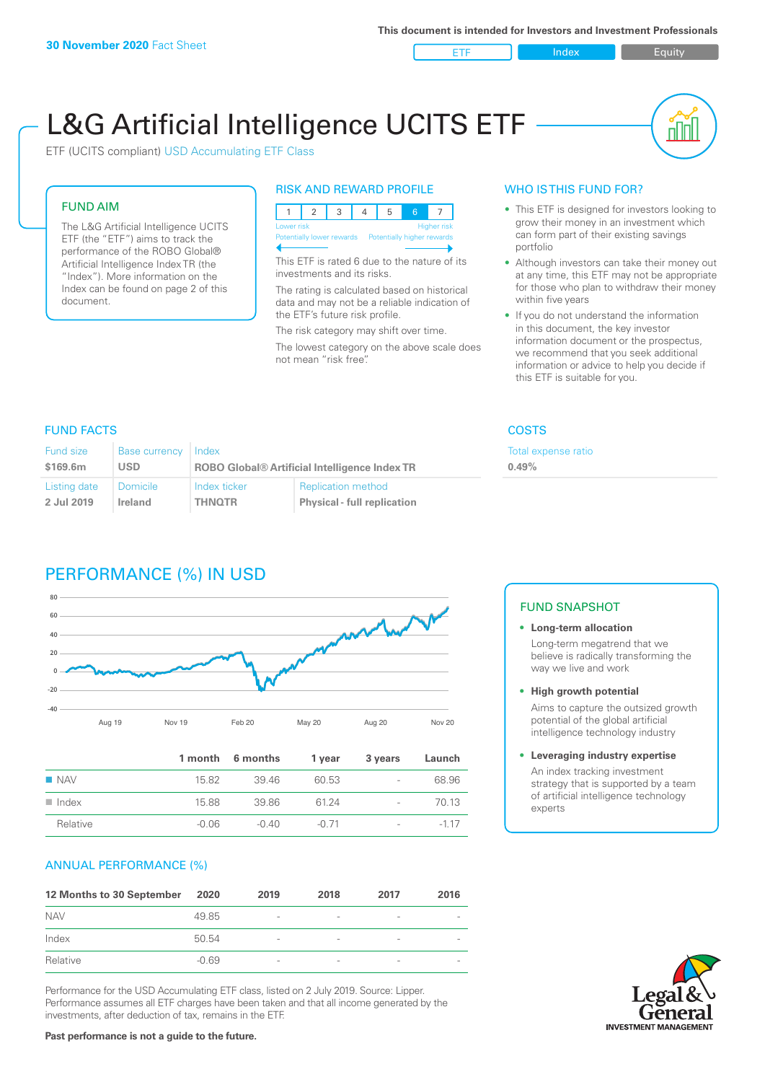ETF Index Builty

nN

# L&G Artificial Intelligence UCITS ETF

ETF (UCITS compliant) USD Accumulating ETF Class

#### FUND AIM

The L&G Artificial Intelligence UCITS ETF (the "ETF") aims to track the performance of the ROBO Global® Artificial Intelligence Index TR (the "Index"). More information on the Index can be found on page 2 of this document.

#### RISK AND REWARD PROFILE

| <b>Higher risk</b><br>Lower risk |  |  |  |  |  |                            |  |
|----------------------------------|--|--|--|--|--|----------------------------|--|
| Potentially lower rewards        |  |  |  |  |  | Potentially higher rewards |  |
|                                  |  |  |  |  |  |                            |  |

This ETF is rated 6 due to the nature of its investments and its risks.

The rating is calculated based on historical data and may not be a reliable indication of the ETF's future risk profile.

The risk category may shift over time. The lowest category on the above scale does not mean "risk free".

#### WHO IS THIS FUND FOR?

- This ETF is designed for investors looking to grow their money in an investment which can form part of their existing savings portfolio
- Although investors can take their money out at any time, this ETF may not be appropriate for those who plan to withdraw their money within five years
- If you do not understand the information in this document, the key investor information document or the prospectus, we recommend that you seek additional information or advice to help you decide if this ETF is suitable for you.

**0.49%**

Total expense ratio

#### FUND FACTS COSTS

| Fund size    | <b>Base currency</b> | Index                                                |                                    |  |
|--------------|----------------------|------------------------------------------------------|------------------------------------|--|
| \$169.6m     | <b>USD</b>           | <b>ROBO Global® Artificial Intelligence Index TR</b> |                                    |  |
| Listing date | <b>Domicile</b>      | Index ticker                                         | <b>Replication method</b>          |  |
| 2 Jul 2019   | Ireland              | <b>THNOTR</b>                                        | <b>Physical - full replication</b> |  |

## PERFORMANCE (%) IN USD



|                      |         | 1 month 6 months | 1 year  | 3 years                  | Launch |
|----------------------|---------|------------------|---------|--------------------------|--------|
| $\blacksquare$ NAV   | 15.82   | 39 46            | 60.53   | $\overline{\phantom{0}}$ | 68.96  |
| $\blacksquare$ Index | 15.88   | 39.86            | 6124    | $\overline{\phantom{a}}$ | 70.13  |
| Relative             | $-0.06$ | -0.40            | $-0.71$ | $\overline{\phantom{a}}$ | $-117$ |

#### ANNUAL PERFORMANCE (%)

| 12 Months to 30 September | 2020    | 2019                     | 2018                     | 2017                     | 2016                     |
|---------------------------|---------|--------------------------|--------------------------|--------------------------|--------------------------|
| <b>NAV</b>                | 49.85   | $\overline{\phantom{a}}$ | $\overline{\phantom{a}}$ | $\overline{\phantom{a}}$ | $\overline{\phantom{a}}$ |
| Index                     | 50.54   | $\overline{\phantom{a}}$ |                          | $\qquad \qquad$          | $\overline{\phantom{a}}$ |
| Relative                  | $-0.69$ | $\qquad \qquad$          |                          | $\overline{\phantom{0}}$ | $\overline{\phantom{a}}$ |

Performance for the USD Accumulating ETF class, listed on 2 July 2019. Source: Lipper. Performance assumes all ETF charges have been taken and that all income generated by the investments, after deduction of tax, remains in the ETF.

#### FUND SNAPSHOT

- **• Long-term allocation** Long-term megatrend that we believe is radically transforming the way we live and work
- **• High growth potential** Aims to capture the outsized growth potential of the global artificial intelligence technology industry

#### **• Leveraging industry expertise** An index tracking investment strategy that is supported by a team of artificial intelligence technology experts



**Past performance is not a guide to the future.**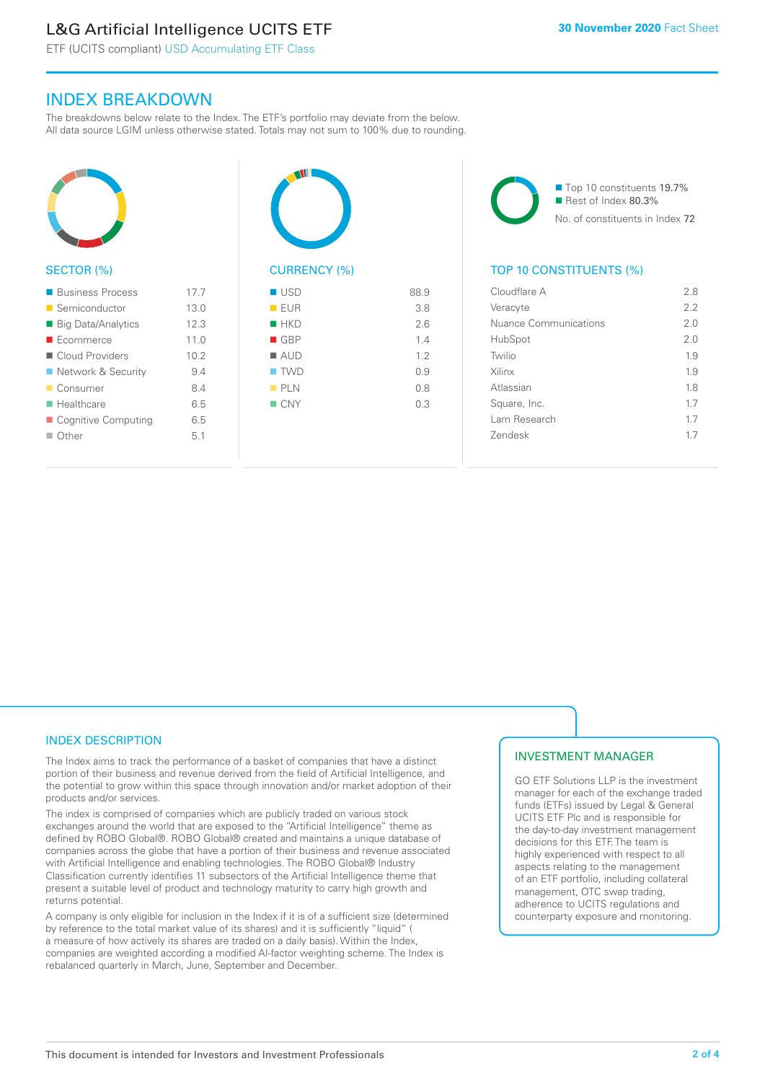# L&G Artificial Intelligence UCITS ETF

ETF (UCITS compliant) USD Accumulating ETF Class

### INDEX BREAKDOWN

The breakdowns below relate to the Index. The ETF's portfolio may deviate from the below. All data source LGIM unless otherwise stated. Totals may not sum to 100% due to rounding.



#### SECTOR (%)

| ■ Business Process        | 177             |
|---------------------------|-----------------|
| ■ Semiconductor           | 13.0            |
| ■ Big Data/Analytics      | 12.3            |
| $\blacksquare$ Ecommerce  | 11 <sub>0</sub> |
| ■ Cloud Providers         | 10.2            |
| ■ Network & Security      | 94              |
| ■ Consumer                | 8.4             |
| $\blacksquare$ Healthcare | 6.5             |
| ■ Cognitive Computing     | 6.5             |
| $\Box$ Other              | 51              |
|                           |                 |



| EUR                | 3.8 |
|--------------------|-----|
| HKD                | 2.6 |
| GBP                | 1.4 |
| $\blacksquare$ AUD | 1.2 |
| $\blacksquare$ TWD | 0.9 |
| PLN                | 0.8 |
| $\blacksquare$ CNY | 0.3 |
|                    |     |
|                    |     |

■ Top 10 constituents 19.7% Rest of Index 80.3% No. of constituents in Index 72

#### TOP 10 CONSTITUENTS (%)

| Cloudflare A          | 28  |
|-----------------------|-----|
| Veracyte              | 22  |
| Nuance Communications | 2.0 |
| HubSpot               | 20  |
| Twilio                | 19  |
| Xilinx                | 1.9 |
| Atlassian             | 18  |
| Square, Inc.          | 17  |
| Lam Research          | 1.7 |
| <b>Zendesk</b>        | 17  |
|                       |     |

#### INDEX DESCRIPTION

The Index aims to track the performance of a basket of companies that have a distinct portion of their business and revenue derived from the field of Artificial Intelligence, and the potential to grow within this space through innovation and/or market adoption of their products and/or services.

The index is comprised of companies which are publicly traded on various stock exchanges around the world that are exposed to the "Artificial Intelligence" theme as defined by ROBO Global®. ROBO Global® created and maintains a unique database of companies across the globe that have a portion of their business and revenue associated with Artificial Intelligence and enabling technologies. The ROBO Global® Industry Classification currently identifies 11 subsectors of the Artificial Intelligence theme that present a suitable level of product and technology maturity to carry high growth and returns potential.

A company is only eligible for inclusion in the Index if it is of a sufficient size (determined by reference to the total market value of its shares) and it is sufficiently "liquid" ( a measure of how actively its shares are traded on a daily basis). Within the Index, companies are weighted according a modified AI-factor weighting scheme. The Index is rebalanced quarterly in March, June, September and December.

#### INVESTMENT MANAGER

GO ETF Solutions LLP is the investment manager for each of the exchange traded funds (ETFs) issued by Legal & General UCITS ETF Plc and is responsible for the day-to-day investment management decisions for this ETF. The team is highly experienced with respect to all aspects relating to the management of an ETF portfolio, including collateral management, OTC swap trading, adherence to UCITS regulations and counterparty exposure and monitoring.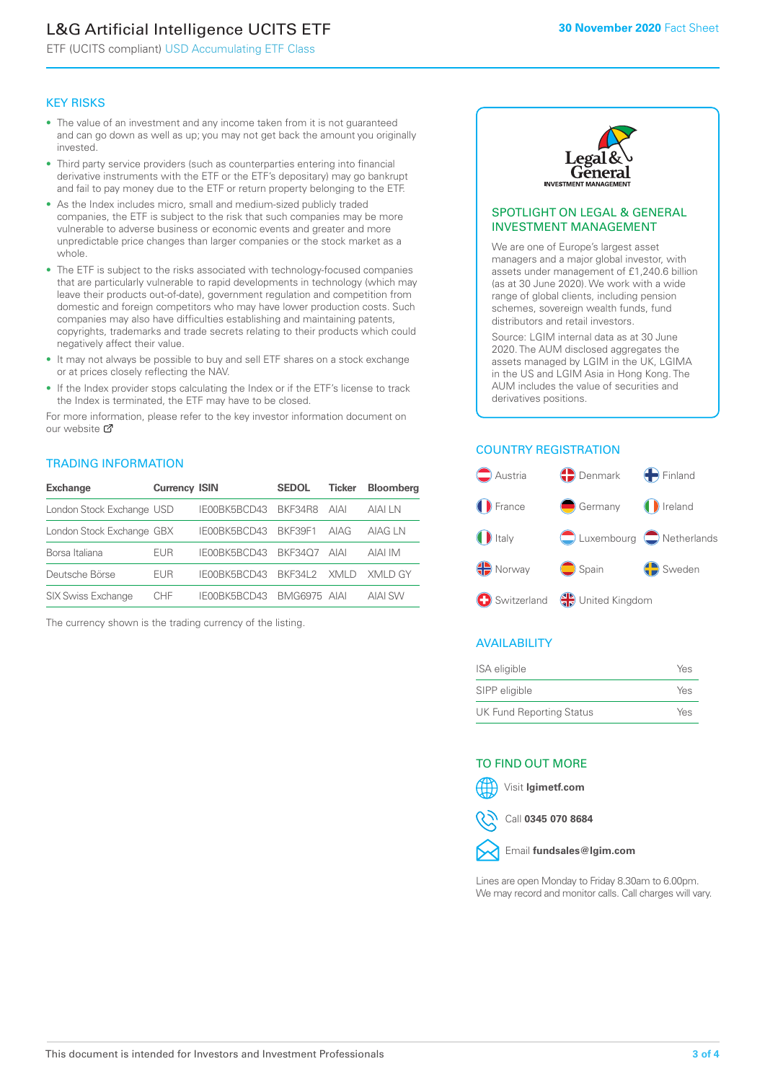# L&G Artificial Intelligence UCITS ETF

ETF (UCITS compliant) USD Accumulating ETF Class

#### KEY RISKS

- The value of an investment and any income taken from it is not guaranteed and can go down as well as up; you may not get back the amount you originally invested.
- Third party service providers (such as counterparties entering into financial derivative instruments with the ETF or the ETF's depositary) may go bankrupt and fail to pay money due to the ETF or return property belonging to the ETF.
- As the Index includes micro, small and medium-sized publicly traded companies, the ETF is subject to the risk that such companies may be more vulnerable to adverse business or economic events and greater and more unpredictable price changes than larger companies or the stock market as a whole.
- The ETF is subject to the risks associated with technology-focused companies that are particularly vulnerable to rapid developments in technology (which may leave their products out-of-date), government regulation and competition from domestic and foreign competitors who may have lower production costs. Such companies may also have difficulties establishing and maintaining patents, copyrights, trademarks and trade secrets relating to their products which could negatively affect their value.
- It may not always be possible to buy and sell ETF shares on a stock exchange or at prices closely reflecting the NAV.
- If the Index provider stops calculating the Index or if the ETF's license to track the Index is terminated, the ETF may have to be closed.

For more in[form](https://www.lgimetf.com/)ation, please refer to the key investor information document on our website Ø

#### TRADING INFORMATION

| <b>Exchange</b>           | <b>Currency ISIN</b> |                      | <b>SEDOL</b> | <b>Ticker</b> | <b>Bloomberg</b> |
|---------------------------|----------------------|----------------------|--------------|---------------|------------------|
| London Stock Exchange USD |                      | IE00BK5BCD43 BKF34R8 |              | AIAI          | AIAI I N         |
| London Stock Exchange GBX |                      | IE00BK5BCD43         | BKF39F1      | AIAG          | AIAG I N         |
| Borsa Italiana            | EUR                  | IE00BK5BCD43         | BKF3407      | AIAI          | AIAI IM          |
| Deutsche Börse            | EUR                  | IFOORK5BCD43         | BKF341 2     | XMI D         | XMI D GY         |
| <b>SIX Swiss Exchange</b> | CHE                  | IE00BK5BCD43         | BMG6975 AIAI |               | AIAI SW          |

The currency shown is the trading currency of the listing.



#### SPOTLIGHT ON LEGAL & GENERAL INVESTMENT MANAGEMENT

We are one of Europe's largest asset managers and a major global investor, with assets under management of £1,240.6 billion (as at 30 June 2020). We work with a wide range of global clients, including pension schemes, sovereign wealth funds, fund distributors and retail investors.

Source: LGIM internal data as at 30 June 2020. The AUM disclosed aggregates the assets managed by LGIM in the UK, LGIMA in the US and LGIM Asia in Hong Kong. The AUM includes the value of securities and derivatives positions.

#### COUNTRY REGISTRATION



#### AVAILABILITY

| ISA eligible                    | Yes |
|---------------------------------|-----|
| SIPP eligible                   | Yes |
| <b>UK Fund Reporting Status</b> | Yes |

#### TO FIND OUT MORE



Call **0345 070 8684**



Lines are open Monday to Friday 8.30am to 6.00pm. We may record and monitor calls. Call charges will vary.